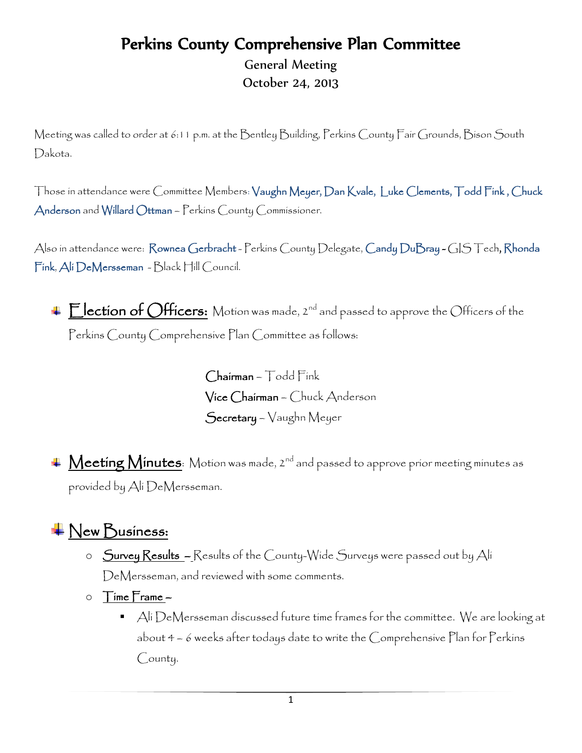## Perkins County Comprehensive Plan Committee

General Meeting October 24, 2013

Meeting was called to order at 6:11 p.m. at the Bentley Building, Perkins County Fair Grounds, Bison South Dakota.

Those in attendance were Committee Members: Vaughn Meyer, Dan Kvale, Luke Clements, Todd Fink , Chuck Anderson and Willard Ottman – Perkins County Commissioner.

Also in attendance were: Rownea Gerbracht - Perkins County Delegate, Candy DuBray - GIS Tech, Rhonda Fink, Ali DeMersseman - Black Hill Council.

Election of Officers: Motion was made, 2<sup>nd</sup> and passed to approve the Officers of the Perkins County Comprehensive Plan Committee as follows:

> Chairman – Todd Fink Vice Chairman – Chuck Anderson Secretary – Vaughn Meyer

4 Meeting Minutes: Motion was made, 2<sup>nd</sup> and passed to approve prior meeting minutes as provided by Ali DeMersseman.

## $\bigcup$ ew Business:

- o Survey Results Results of the County-Wide Surveys were passed out by Ali DeMersseman, and reviewed with some comments.
- $\circ$  Time Frame  $-$ 
	- $\blacksquare$  Ali  $\mathcal D$ e $\mathcal M$ ersseman discussed future time frames for the committee. We are looking at about 4 – 6 weeks after todays date to write the Comprehensive Plan for Perkins County.